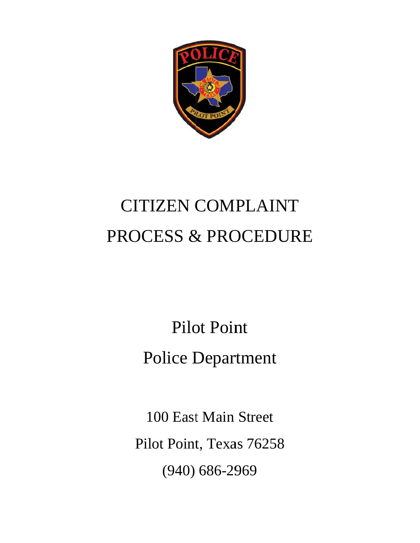

# **CITIZEN COMPLAINT** PROCESS & PROCEDURE

**Pilot Point Police Department** 

100 East Main Street Pilot Point, Texas 76258  $(940) 686 - 2969$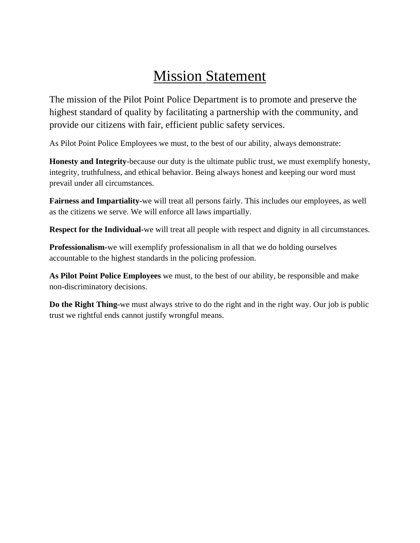# Mission Statement

The mission of the Pilot Point Police Department is to promote and preserve the highest standard of quality by facilitating a partnership with the community, and provide our citizens with fair, efficient public safety services.

As Pilot Point Police Employees we must, to the best of our ability, always demonstrate:

**Honesty and Integrity**-because our duty is the ultimate public trust, we must exemplify honesty, integrity, truthfulness, and ethical behavior. Being always honest and keeping our word must prevail under all circumstances.

**Fairness and Impartiality-**we will treat all persons fairly. This includes our employees, as well as the citizens we serve. We will enforce all laws impartially.

**Respect for the Individual-**we will treat all people with respect and dignity in all circumstances.

**Professionalism-**we will exemplify professionalism in all that we do holding ourselves accountable to the highest standards in the policing profession.

**As Pilot Point Police Employees** we must, to the best of our ability, be responsible and make non-discriminatory decisions.

**Do the Right Thing-**we must always strive to do the right and in the right way. Our job is public trust we rightful ends cannot justify wrongful means.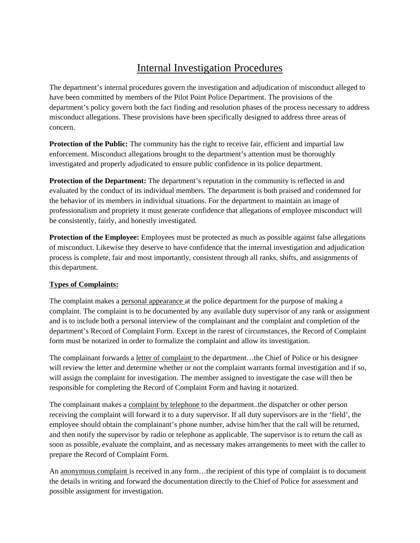## Internal Investigation Procedures

The department's internal procedures govern the investigation and adjudication of misconduct alleged to have been committed by members of the Pilot Point Police Department. The provisions of the department's policy govern both the fact finding and resolution phases of the process necessary to address misconduct allegations. These provisions have been specifically designed to address three areas of concern.

**Protection of the Public:** The community has the right to receive fair, efficient and impartial law enforcement. Misconduct allegations brought to the department's attention must be thoroughly investigated and properly adjudicated to ensure public confidence in its police department.

**Protection of the Department:** The department's reputation in the community is reflected in and evaluated by the conduct of its individual members. The department is both praised and condemned for the behavior of its members in individual situations. For the department to maintain an image of professionalism and propriety it must generate confidence that allegations of employee misconduct will be consistently, fairly, and honestly investigated.

**Protection of the Employee:** Employees must be protected as much as possible against false allegations of misconduct. Likewise they deserve to have confidence that the internal investigation and adjudication process is complete, fair and most importantly, consistent through all ranks, shifts, and assignments of this department.

#### **Types of Complaints:**

The complaint makes a personal appearance at the police department for the purpose of making a complaint. The complaint is to be documented by any available duty supervisor of any rank or assignment and is to include both a personal interview of the complainant and the complaint and completion of the department's Record of Complaint Form. Except in the rarest of circumstances, the Record of Complaint form must be notarized in order to formalize the complaint and allow its investigation.

The complainant forwards a letter of complaint to the department…the Chief of Police or his designee will review the letter and determine whether or not the complaint warrants formal investigation and if so, will assign the complaint for investigation. The member assigned to investigate the case will then be responsible for completing the Record of Complaint Form and having it notarized.

The complainant makes a complaint by telephone to the department..the dispatcher or other person receiving the complaint will forward it to a duty supervisor. If all duty supervisors are in the 'field', the employee should obtain the complainant's phone number, advise him/her that the call will be returned, and then notify the supervisor by radio or telephone as applicable. The supervisor is to return the call as soon as possible, evaluate the complaint, and as necessary makes arrangements to meet with the caller to prepare the Record of Complaint Form.

An anonymous complaint is received in any form…the recipient of this type of complaint is to document the details in writing and forward the documentation directly to the Chief of Police for assessment and possible assignment for investigation.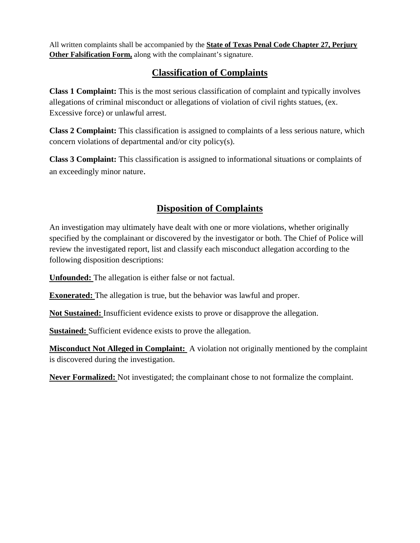All written complaints shall be accompanied by the **State of Texas Penal Code Chapter 27, Perjury Other Falsification Form,** along with the complainant's signature.

### **Classification of Complaints**

**Class 1 Complaint:** This is the most serious classification of complaint and typically involves allegations of criminal misconduct or allegations of violation of civil rights statues, (ex. Excessive force) or unlawful arrest.

**Class 2 Complaint:** This classification is assigned to complaints of a less serious nature, which concern violations of departmental and/or city policy(s).

**Class 3 Complaint:** This classification is assigned to informational situations or complaints of an exceedingly minor nature.

### **Disposition of Complaints**

An investigation may ultimately have dealt with one or more violations, whether originally specified by the complainant or discovered by the investigator or both. The Chief of Police will review the investigated report, list and classify each misconduct allegation according to the following disposition descriptions:

**Unfounded:** The allegation is either false or not factual.

**Exonerated:** The allegation is true, but the behavior was lawful and proper.

**Not Sustained:** Insufficient evidence exists to prove or disapprove the allegation.

**Sustained:** Sufficient evidence exists to prove the allegation.

**Misconduct Not Alleged in Complaint:** A violation not originally mentioned by the complaint is discovered during the investigation.

**Never Formalized:** Not investigated; the complainant chose to not formalize the complaint.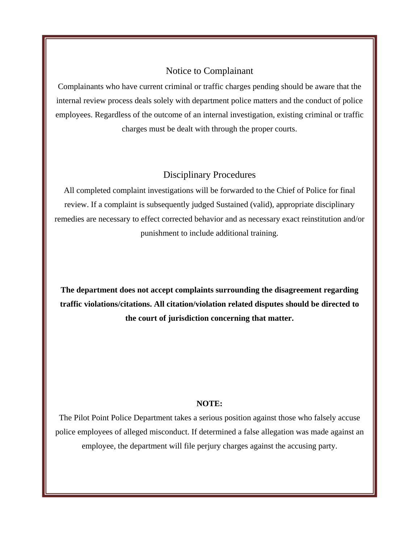#### Notice to Complainant

Complainants who have current criminal or traffic charges pending should be aware that the internal review process deals solely with department police matters and the conduct of police employees. Regardless of the outcome of an internal investigation, existing criminal or traffic charges must be dealt with through the proper courts.

#### Disciplinary Procedures

All completed complaint investigations will be forwarded to the Chief of Police for final review. If a complaint is subsequently judged Sustained (valid), appropriate disciplinary remedies are necessary to effect corrected behavior and as necessary exact reinstitution and/or punishment to include additional training.

**The department does not accept complaints surrounding the disagreement regarding traffic violations/citations. All citation/violation related disputes should be directed to the court of jurisdiction concerning that matter.** 

#### **NOTE:**

The Pilot Point Police Department takes a serious position against those who falsely accuse police employees of alleged misconduct. If determined a false allegation was made against an employee, the department will file perjury charges against the accusing party.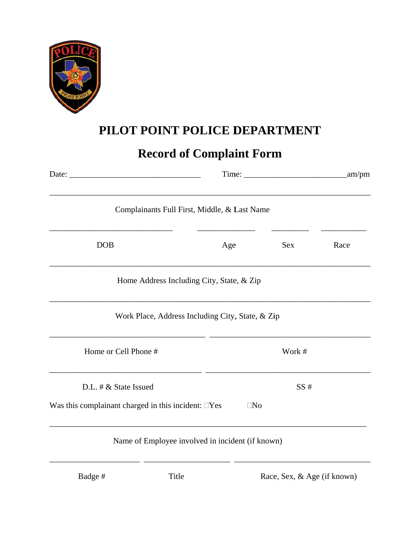

# **PILOT POINT POLICE DEPARTMENT**

# **Record of Complaint Form**

| Complainants Full First, Middle, & Last Name              |           |        |      |  |
|-----------------------------------------------------------|-----------|--------|------|--|
| <b>DOB</b>                                                | Age       | Sex    | Race |  |
| Home Address Including City, State, & Zip                 |           |        |      |  |
| Work Place, Address Including City, State, & Zip          |           |        |      |  |
| Home or Cell Phone #                                      |           | Work # |      |  |
| D.L. $\# \&$ State Issued                                 |           | SS#    |      |  |
| Was this complainant charged in this incident: $\Box$ Yes | $\Box$ No |        |      |  |
| Name of Employee involved in incident (if known)<br>- -   |           |        |      |  |

B Badge #

Race, Sex, & Age (if known)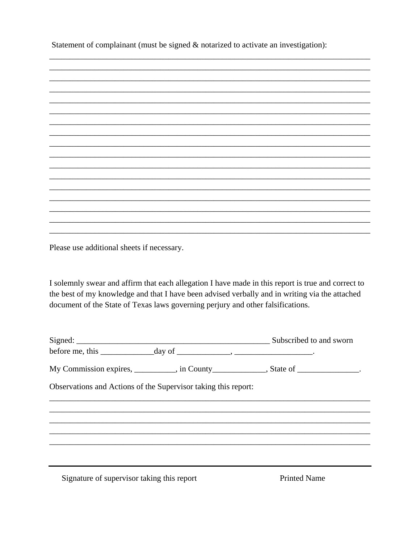Statement of complainant (must be signed  $\&$  notarized to activate an investigation):



Please use additional sheets if necessary.

I solemnly swear and affirm that each allegation I have made in this report is true and correct to the best of my knowledge and that I have been advised verbally and in writing via the attached document of the State of Texas laws governing perjury and other falsifications.

| before me, this $\_\_\_\_\_$ day of $\_\_\_\_\_\_$ , $\_\_\_\_\_\_\_$ .           |  |
|-----------------------------------------------------------------------------------|--|
| My Commission expires, __________, in County____________, State of _____________. |  |
| Observations and Actions of the Supervisor taking this report:                    |  |
|                                                                                   |  |
|                                                                                   |  |
|                                                                                   |  |
|                                                                                   |  |
|                                                                                   |  |
|                                                                                   |  |

Signature of supervisor taking this report

**Printed Name**